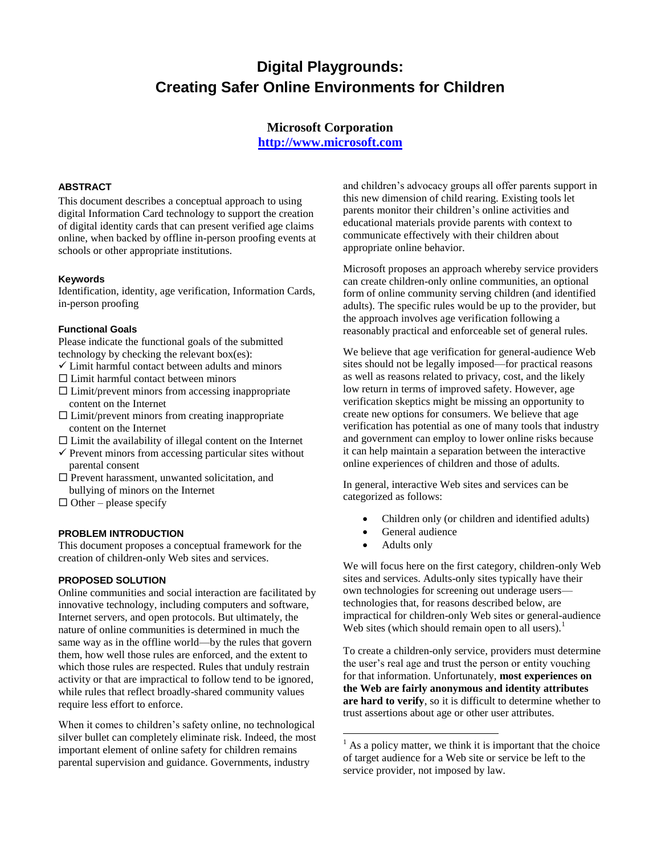# **Digital Playgrounds: Creating Safer Online Environments for Children**

## **Microsoft Corporation [http://www.microsoft.com](http://www.microsoft.com/)**

### **ABSTRACT**

This document describes a conceptual approach to using digital Information Card technology to support the creation of digital identity cards that can present verified age claims online, when backed by offline in-person proofing events at schools or other appropriate institutions.

#### **Keywords**

Identification, identity, age verification, Information Cards, in-person proofing

#### **Functional Goals**

Please indicate the functional goals of the submitted technology by checking the relevant box(es):

- $\checkmark$  Limit harmful contact between adults and minors
- $\square$  Limit harmful contact between minors
- $\square$  Limit/prevent minors from accessing inappropriate content on the Internet
- $\Box$  Limit/prevent minors from creating inappropriate content on the Internet
- $\Box$  Limit the availability of illegal content on the Internet
- $\checkmark$  Prevent minors from accessing particular sites without parental consent
- $\square$  Prevent harassment, unwanted solicitation, and bullying of minors on the Internet
- $\Box$  Other please specify

### **PROBLEM INTRODUCTION**

This document proposes a conceptual framework for the creation of children-only Web sites and services.

### **PROPOSED SOLUTION**

Online communities and social interaction are facilitated by innovative technology, including computers and software, Internet servers, and open protocols. But ultimately, the nature of online communities is determined in much the same way as in the offline world—by the rules that govern them, how well those rules are enforced, and the extent to which those rules are respected. Rules that unduly restrain activity or that are impractical to follow tend to be ignored, while rules that reflect broadly-shared community values require less effort to enforce.

When it comes to children's safety online, no technological silver bullet can completely eliminate risk. Indeed, the most important element of online safety for children remains parental supervision and guidance. Governments, industry

and children's advocacy groups all offer parents support in this new dimension of child rearing. Existing tools let parents monitor their children's online activities and educational materials provide parents with context to communicate effectively with their children about appropriate online behavior.

Microsoft proposes an approach whereby service providers can create children-only online communities, an optional form of online community serving children (and identified adults). The specific rules would be up to the provider, but the approach involves age verification following a reasonably practical and enforceable set of general rules.

We believe that age verification for general-audience Web sites should not be legally imposed—for practical reasons as well as reasons related to privacy, cost, and the likely low return in terms of improved safety. However, age verification skeptics might be missing an opportunity to create new options for consumers. We believe that age verification has potential as one of many tools that industry and government can employ to lower online risks because it can help maintain a separation between the interactive online experiences of children and those of adults.

In general, interactive Web sites and services can be categorized as follows:

- Children only (or children and identified adults)
- General audience
- Adults only

 $\overline{a}$ 

We will focus here on the first category, children-only Web sites and services. Adults-only sites typically have their own technologies for screening out underage users technologies that, for reasons described below, are impractical for children-only Web sites or general-audience Web sites (which should remain open to all users).<sup>1</sup>

To create a children-only service, providers must determine the user's real age and trust the person or entity vouching for that information. Unfortunately, **most experiences on the Web are fairly anonymous and identity attributes are hard to verify**, so it is difficult to determine whether to trust assertions about age or other user attributes.

 $<sup>1</sup>$  As a policy matter, we think it is important that the choice</sup> of target audience for a Web site or service be left to the service provider, not imposed by law.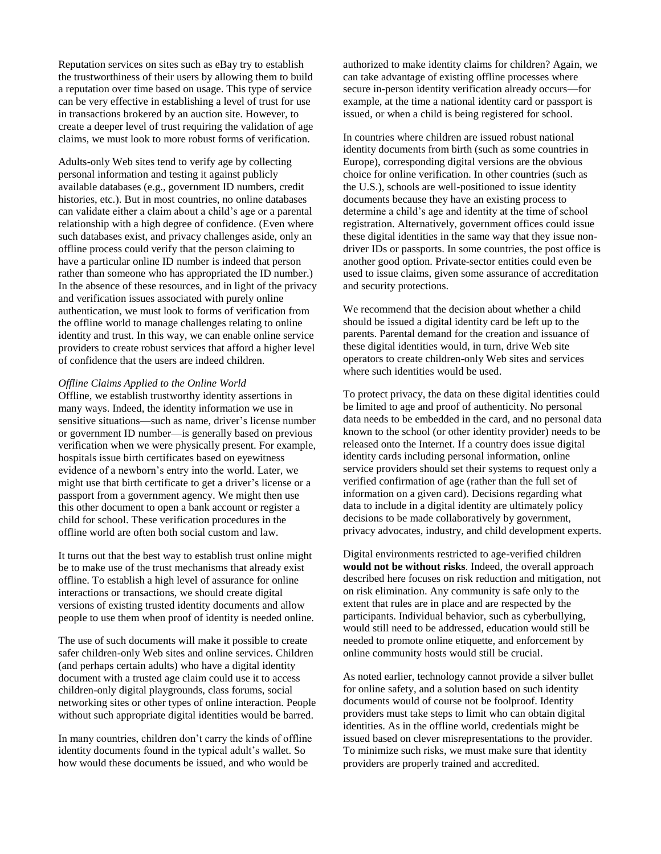Reputation services on sites such as eBay try to establish the trustworthiness of their users by allowing them to build a reputation over time based on usage. This type of service can be very effective in establishing a level of trust for use in transactions brokered by an auction site. However, to create a deeper level of trust requiring the validation of age claims, we must look to more robust forms of verification.

Adults-only Web sites tend to verify age by collecting personal information and testing it against publicly available databases (e.g., government ID numbers, credit histories, etc.). But in most countries, no online databases can validate either a claim about a child's age or a parental relationship with a high degree of confidence. (Even where such databases exist, and privacy challenges aside, only an offline process could verify that the person claiming to have a particular online ID number is indeed that person rather than someone who has appropriated the ID number.) In the absence of these resources, and in light of the privacy and verification issues associated with purely online authentication, we must look to forms of verification from the offline world to manage challenges relating to online identity and trust. In this way, we can enable online service providers to create robust services that afford a higher level of confidence that the users are indeed children.

#### *Offline Claims Applied to the Online World*

Offline, we establish trustworthy identity assertions in many ways. Indeed, the identity information we use in sensitive situations—such as name, driver's license number or government ID number—is generally based on previous verification when we were physically present. For example, hospitals issue birth certificates based on eyewitness evidence of a newborn's entry into the world. Later, we might use that birth certificate to get a driver's license or a passport from a government agency. We might then use this other document to open a bank account or register a child for school. These verification procedures in the offline world are often both social custom and law.

It turns out that the best way to establish trust online might be to make use of the trust mechanisms that already exist offline. To establish a high level of assurance for online interactions or transactions, we should create digital versions of existing trusted identity documents and allow people to use them when proof of identity is needed online.

The use of such documents will make it possible to create safer children-only Web sites and online services. Children (and perhaps certain adults) who have a digital identity document with a trusted age claim could use it to access children-only digital playgrounds, class forums, social networking sites or other types of online interaction. People without such appropriate digital identities would be barred.

In many countries, children don't carry the kinds of offline identity documents found in the typical adult's wallet. So how would these documents be issued, and who would be

authorized to make identity claims for children? Again, we can take advantage of existing offline processes where secure in-person identity verification already occurs—for example, at the time a national identity card or passport is issued, or when a child is being registered for school.

In countries where children are issued robust national identity documents from birth (such as some countries in Europe), corresponding digital versions are the obvious choice for online verification. In other countries (such as the U.S.), schools are well-positioned to issue identity documents because they have an existing process to determine a child's age and identity at the time of school registration. Alternatively, government offices could issue these digital identities in the same way that they issue nondriver IDs or passports. In some countries, the post office is another good option. Private-sector entities could even be used to issue claims, given some assurance of accreditation and security protections.

We recommend that the decision about whether a child should be issued a digital identity card be left up to the parents. Parental demand for the creation and issuance of these digital identities would, in turn, drive Web site operators to create children-only Web sites and services where such identities would be used.

To protect privacy, the data on these digital identities could be limited to age and proof of authenticity. No personal data needs to be embedded in the card, and no personal data known to the school (or other identity provider) needs to be released onto the Internet. If a country does issue digital identity cards including personal information, online service providers should set their systems to request only a verified confirmation of age (rather than the full set of information on a given card). Decisions regarding what data to include in a digital identity are ultimately policy decisions to be made collaboratively by government, privacy advocates, industry, and child development experts.

Digital environments restricted to age-verified children **would not be without risks**. Indeed, the overall approach described here focuses on risk reduction and mitigation, not on risk elimination. Any community is safe only to the extent that rules are in place and are respected by the participants. Individual behavior, such as cyberbullying, would still need to be addressed, education would still be needed to promote online etiquette, and enforcement by online community hosts would still be crucial.

As noted earlier, technology cannot provide a silver bullet for online safety, and a solution based on such identity documents would of course not be foolproof. Identity providers must take steps to limit who can obtain digital identities. As in the offline world, credentials might be issued based on clever misrepresentations to the provider. To minimize such risks, we must make sure that identity providers are properly trained and accredited.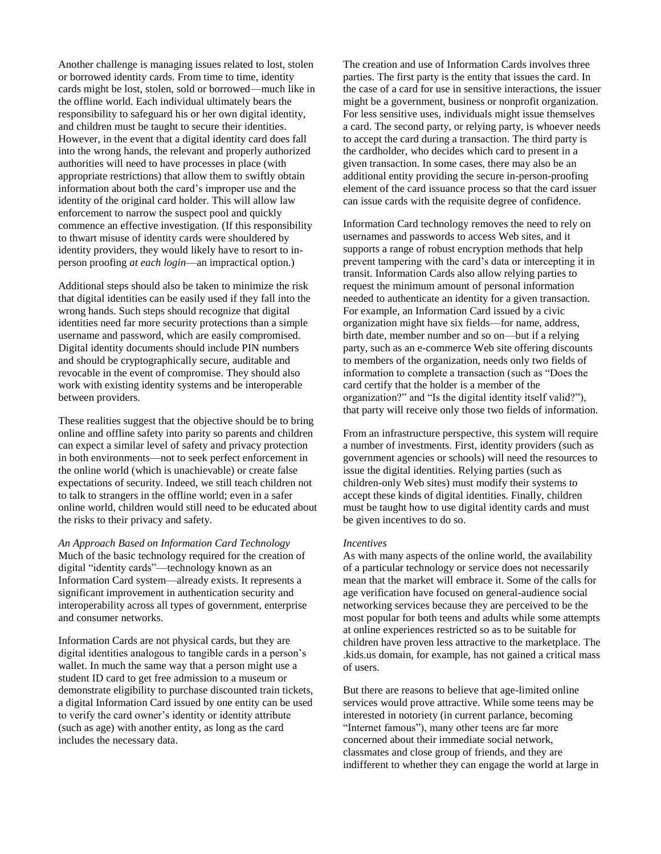Another challenge is managing issues related to lost, stolen or borrowed identity cards. From time to time, identity cards might be lost, stolen, sold or borrowed—much like in the offline world. Each individual ultimately bears the responsibility to safeguard his or her own digital identity, and children must be taught to secure their identities. However, in the event that a digital identity card does fall into the wrong hands, the relevant and properly authorized authorities will need to have processes in place (with appropriate restrictions) that allow them to swiftly obtain information about both the card's improper use and the identity of the original card holder. This will allow law enforcement to narrow the suspect pool and quickly commence an effective investigation. (If this responsibility to thwart misuse of identity cards were shouldered by identity providers, they would likely have to resort to inperson proofing *at each login*—an impractical option.)

Additional steps should also be taken to minimize the risk that digital identities can be easily used if they fall into the wrong hands. Such steps should recognize that digital identities need far more security protections than a simple username and password, which are easily compromised. Digital identity documents should include PIN numbers and should be cryptographically secure, auditable and revocable in the event of compromise. They should also work with existing identity systems and be interoperable between providers.

These realities suggest that the objective should be to bring online and offline safety into parity so parents and children can expect a similar level of safety and privacy protection in both environments—not to seek perfect enforcement in the online world (which is unachievable) or create false expectations of security. Indeed, we still teach children not to talk to strangers in the offline world; even in a safer online world, children would still need to be educated about the risks to their privacy and safety.

*An Approach Based on Information Card Technology*  Much of the basic technology required for the creation of digital "identity cards"—technology known as an [Information Card](http://en.wikipedia.org/wiki/Information_Card) system—already exists. It represents a significant improvement in authentication security and interoperability across all types of government, enterprise and consumer networks.

Information Cards are not physical cards, but they are digital identities analogous to tangible cards in a person's wallet. In much the same way that a person might use a student ID card to get free admission to a museum or demonstrate eligibility to purchase discounted train tickets, a digital Information Card issued by one entity can be used to verify the card owner's identity or identity attribute (such as age) with another entity, as long as the card includes the necessary data.

The creation and use of Information Cards involves three parties. The first party is the entity that issues the card. In the case of a card for use in sensitive interactions, the issuer might be a government, business or nonprofit organization. For less sensitive uses, individuals might issue themselves a card. The second party, or relying party, is whoever needs to accept the card during a transaction. The third party is the cardholder, who decides which card to present in a given transaction. In some cases, there may also be an additional entity providing the secure in-person-proofing element of the card issuance process so that the card issuer can issue cards with the requisite degree of confidence.

Information Card technology removes the need to rely on usernames and passwords to access Web sites, and it supports a range of robust encryption methods that help prevent tampering with the card's data or intercepting it in transit. Information Cards also allow relying parties to request the minimum amount of personal information needed to authenticate an identity for a given transaction. For example, an Information Card issued by a civic organization might have six fields—for name, address, birth date, member number and so on—but if a relying party, such as an e-commerce Web site offering discounts to members of the organization, needs only two fields of information to complete a transaction (such as "Does the card certify that the holder is a member of the organization?" and "Is the digital identity itself valid?"), that party will receive only those two fields of information.

From an infrastructure perspective, this system will require a number of investments. First, identity providers (such as government agencies or schools) will need the resources to issue the digital identities. Relying parties (such as children-only Web sites) must modify their systems to accept these kinds of digital identities. Finally, children must be taught how to use digital identity cards and must be given incentives to do so.

#### *Incentives*

As with many aspects of the online world, the availability of a particular technology or service does not necessarily mean that the market will embrace it. Some of the calls for age verification have focused on general-audience social networking services because they are perceived to be the most popular for both teens and adults while some attempts at online experiences restricted so as to be suitable for children have proven less attractive to the marketplace. The .kids.us domain, for example, has not gained a critical mass of users.

But there are reasons to believe that age-limited online services would prove attractive. While some teens may be interested in notoriety (in current parlance, becoming "Internet famous"), many other teens are far more concerned about their immediate social network, classmates and close group of friends, and they are indifferent to whether they can engage the world at large in